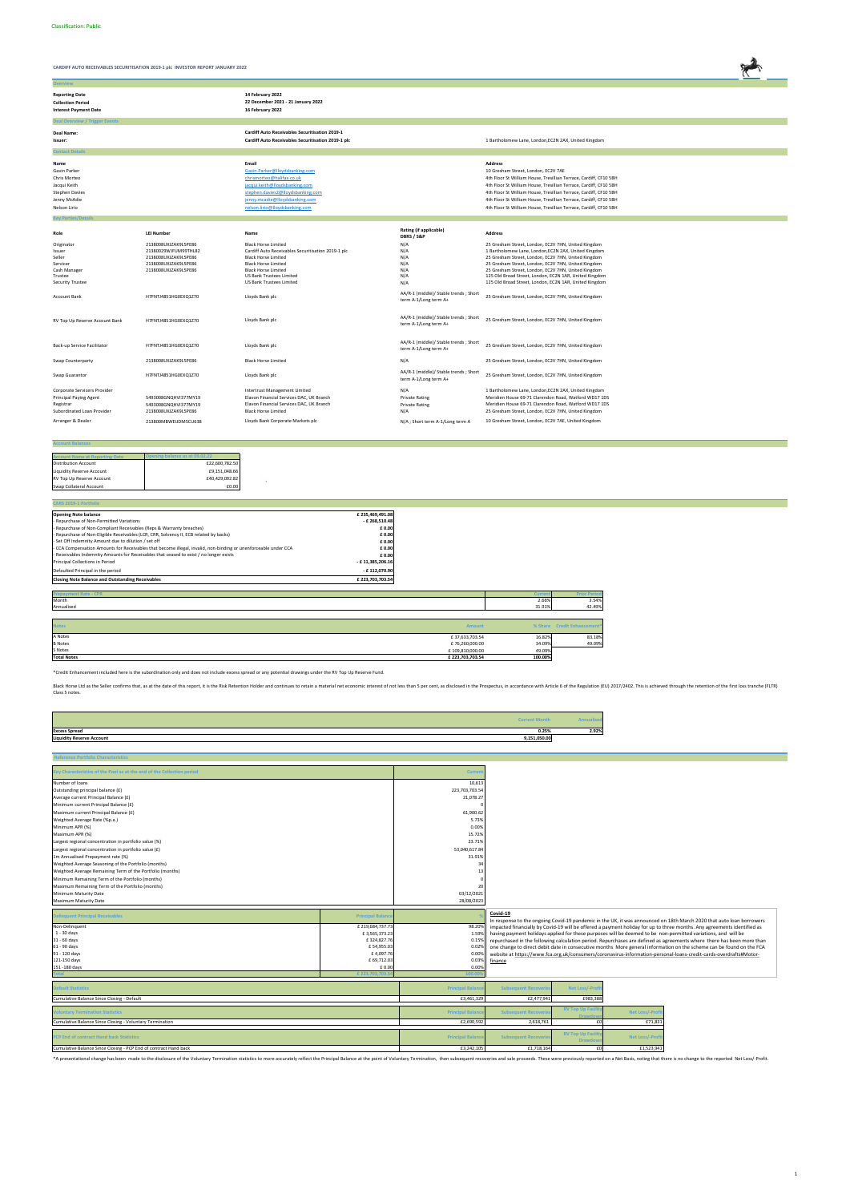**Ov** 

**CARDIFF AUTO RECEIVABLES SECURITISATION 2019-1 plc INVESTOR REPORT JANUARY 2022**



| <b>Reporting Date</b><br><b>Collection Period</b><br><b>Interest Payment Date</b>                                             |                                                                                                                      | 14 February 2022<br>22 December 2021 - 21 January 2022<br>16 February 2022                                                                                                                                                                       |                                                                                                  |                                                                                                                                                                                                                                                                                                                                                                                                                |
|-------------------------------------------------------------------------------------------------------------------------------|----------------------------------------------------------------------------------------------------------------------|--------------------------------------------------------------------------------------------------------------------------------------------------------------------------------------------------------------------------------------------------|--------------------------------------------------------------------------------------------------|----------------------------------------------------------------------------------------------------------------------------------------------------------------------------------------------------------------------------------------------------------------------------------------------------------------------------------------------------------------------------------------------------------------|
| <b>Deal Overview / Trigger Events</b>                                                                                         |                                                                                                                      |                                                                                                                                                                                                                                                  |                                                                                                  |                                                                                                                                                                                                                                                                                                                                                                                                                |
| Deal Name:<br>Issuer:                                                                                                         |                                                                                                                      | <b>Cardiff Auto Receivables Securitisation 2019-1</b><br>Cardiff Auto Receivables Securitisation 2019-1 plc                                                                                                                                      |                                                                                                  | 1 Bartholomew Lane, London, EC2N 2AX, United Kingdom                                                                                                                                                                                                                                                                                                                                                           |
| <b>Contact Details</b>                                                                                                        |                                                                                                                      |                                                                                                                                                                                                                                                  |                                                                                                  |                                                                                                                                                                                                                                                                                                                                                                                                                |
| Name<br>Gavin Parker<br>Chris Morteo<br>Jacqui Keith<br><b>Stephen Davies</b><br>Jenny McAdie<br>Nelson Lirio                 |                                                                                                                      | Email<br>Gavin.Parker@lloydsbanking.com<br>chrismorteo@halifax.co.uk<br>jacqui.keith@lloydsbanking.com<br>stephen.davies2@lloydsbanking.com<br>jenny.mcadie@lloydsbanking.com<br>nelson.lirio@lloydsbanking.com                                  |                                                                                                  | <b>Address</b><br>10 Gresham Street, London, EC2V 7AE<br>4th Floor St William House, Tresillian Terrace, Cardiff, CF10 5BH<br>4th Floor St William House, Tresillian Terrace, Cardiff, CF10 5BH<br>4th Floor St William House, Tresillian Terrace, Cardiff, CF10 5BH<br>4th Floor St William House, Tresillian Terrace, Cardiff, CF10 5BH<br>4th Floor St William House, Tresillian Terrace, Cardiff, CF10 5BH |
|                                                                                                                               |                                                                                                                      |                                                                                                                                                                                                                                                  |                                                                                                  |                                                                                                                                                                                                                                                                                                                                                                                                                |
| <b>Key Parties/Detail:</b><br>Role                                                                                            | <b>LEI Number</b>                                                                                                    | Name                                                                                                                                                                                                                                             | <b>Rating (if applicable)</b><br>DBRS / S&P                                                      | <b>Address</b>                                                                                                                                                                                                                                                                                                                                                                                                 |
| Originator<br>Issuer<br>Seller<br>Servicer<br>Cash Manager<br>Trustee<br>Security Trustee                                     | 2138008UXJZAK9L5PE86<br>21380029WJFUM99THL82<br>2138008UXJZAK9L5PE86<br>2138008UXJZAK9L5PE86<br>2138008UXJZAK9L5PE86 | <b>Black Horse Limited</b><br>Cardiff Auto Receivables Securitisation 2019-1 plc<br><b>Black Horse Limited</b><br><b>Black Horse Limited</b><br><b>Black Horse Limited</b><br><b>US Bank Trustees Limited</b><br><b>US Bank Trustees Limited</b> | N/A<br>N/A<br>N/A<br>N/A<br>N/A<br>N/A<br>N/A                                                    | 25 Gresham Street, London, EC2V 7HN, United Kingdom<br>1 Bartholomew Lane, London, EC2N 2AX, United Kingdom<br>25 Gresham Street, London, EC2V 7HN, United Kingdom<br>25 Gresham Street, London, EC2V 7HN, United Kingdom<br>25 Gresham Street, London, EC2V 7HN, United Kingdom<br>125 Old Broad Street, London, EC2N 1AR, United Kingdom<br>125 Old Broad Street, London, EC2N 1AR, United Kingdom           |
| <b>Account Bank</b>                                                                                                           | H7FNTJ4851HG0EXQ1Z70                                                                                                 | Lloyds Bank plc                                                                                                                                                                                                                                  | AA/R-1 (middle)/ Stable trends; Short<br>term A-1/Long term A+                                   | 25 Gresham Street, London, EC2V 7HN, United Kingdom                                                                                                                                                                                                                                                                                                                                                            |
| RV Top Up Reserve Account Bank                                                                                                | H7FNTJ4851HG0EXQ1Z70                                                                                                 | Lloyds Bank plc                                                                                                                                                                                                                                  | AA/R-1 (middle)/ Stable trends; Short<br>term A-1/Long term A+                                   | 25 Gresham Street, London, EC2V 7HN, United Kingdom                                                                                                                                                                                                                                                                                                                                                            |
| Back-up Service Facilitator                                                                                                   | H7FNTJ4851HG0EXQ1Z70                                                                                                 | Lloyds Bank plc                                                                                                                                                                                                                                  | AA/R-1 (middle)/ Stable trends; Short<br>term A-1/Long term A+                                   | 25 Gresham Street, London, EC2V 7HN, United Kingdom                                                                                                                                                                                                                                                                                                                                                            |
| Swap Counterparty                                                                                                             | 2138008UXJZAK9L5PE86                                                                                                 | <b>Black Horse Limited</b>                                                                                                                                                                                                                       | N/A                                                                                              | 25 Gresham Street, London, EC2V 7HN, United Kingdom                                                                                                                                                                                                                                                                                                                                                            |
| Swap Guarantor                                                                                                                | H7FNTJ4851HG0EXQ1Z70                                                                                                 | Lloyds Bank plc                                                                                                                                                                                                                                  | AA/R-1 (middle)/ Stable trends; Short<br>term A-1/Long term A+                                   | 25 Gresham Street, London, EC2V 7HN, United Kingdom                                                                                                                                                                                                                                                                                                                                                            |
| Corporate Servicers Provider<br><b>Principal Paying Agent</b><br>Registrar<br>Subordinated Loan Provider<br>Arranger & Dealer | 5493008GNQHVI377MY19<br>5493008GNQHVI377MY19<br>2138008UXJZAK9L5PE86<br>213800MBWEIJDM5CU638                         | Intertrust Management Limited<br>Elavon Financial Services DAC, UK Branch<br>Elavon Financial Services DAC, UK Branch<br><b>Black Horse Limited</b><br>Lloyds Bank Corporate Markets plc                                                         | N/A<br><b>Private Rating</b><br><b>Private Rating</b><br>N/A<br>N/A ; Short term A-1/Long term A | 1 Bartholomew Lane, London, EC2N 2AX, United Kingdom<br>Meridien House 69-71 Clarendon Road, Watford WD17 1DS<br>Meridien House 69-71 Clarendon Road, Watford WD17 1DS<br>25 Gresham Street, London, EC2V 7HN, United Kingdom<br>10 Gresham Street, London, EC2V 7AE, United Kingdom                                                                                                                           |

 $\frac{109,810,000.00}{49.09\%}$ **Total Notes £ 223,703,703.54 100.00%**

**Account Balances**

| <b>Account Name at Reporting Date</b> | pening balance as at 09.02.22 |
|---------------------------------------|-------------------------------|
| <b>Distribution Account</b>           | £22,600,782.50                |
| Liquidity Reserve Account             | £9,151,048.66                 |
| RV Top Up Reserve Account             | £40,429,092.82                |
| Swap Collateral Account               | £0.00                         |

| <b>CARS 2019-1 Portfolio</b>                                                                                    |                  |                |        |                             |
|-----------------------------------------------------------------------------------------------------------------|------------------|----------------|--------|-----------------------------|
| <b>Opening Note balance</b>                                                                                     | £235,469,491.08  |                |        |                             |
| - Repurchase of Non-Permitted Variations                                                                        | $-£$ 268,510.48  |                |        |                             |
| - Repurchase of Non-Compliant Receivables (Reps & Warranty breaches)                                            | £ 0.00           |                |        |                             |
| - Repurchase of Non-Eligible Receivables (LCR, CRR, Solvency II, ECB related by backs)                          | £ 0.00           |                |        |                             |
| - Set Off Indemnity Amount due to dilution / set off                                                            | £ 0.00           |                |        |                             |
| - CCA Compensation Amounts for Receivables that become illegal, invalid, non-binding or unenforceable under CCA | £ 0.00           |                |        |                             |
| - Receivables Indemnity Amounts for Receivables that ceased to exist / no longer exists                         | £ 0.00           |                |        |                             |
| Principal Collections in Period                                                                                 | - £11,385,206.16 |                |        |                             |
| Defaulted Principal in the period                                                                               | - £112,070.90    |                |        |                             |
| <b>Closing Note Balance and Outstanding Receivables</b>                                                         | £ 223,703,703.54 |                |        |                             |
|                                                                                                                 |                  |                |        |                             |
| <b>Prepayment Rate - CPR</b>                                                                                    |                  |                | Curren | <b>Prior Period</b>         |
| Month                                                                                                           |                  |                | 2.66%  | 3.54%                       |
| Annualised                                                                                                      |                  |                | 31.91% | 42.49%                      |
|                                                                                                                 |                  |                |        |                             |
| <b>Notes</b>                                                                                                    |                  | <b>Amount</b>  |        | % Share Credit Enhancement* |
|                                                                                                                 |                  |                |        |                             |
| A Notes                                                                                                         |                  | £37,633,703.54 | 16.82% | 83.18%                      |
| <b>B</b> Notes                                                                                                  |                  | £76,260,000.00 | 34.09% | 49.09%                      |

|                                  | <b>Current Month</b> | Annualised |
|----------------------------------|----------------------|------------|
| <b>Excess Spread</b>             | 0.25%                | 2.92%      |
| <b>Liquidity Reserve Account</b> | 9,151,050.00         |            |

| <b>Reference Portfolio Characteristics</b>                             |                           |                         |                             |                                    |                 |                                                                                                                         |
|------------------------------------------------------------------------|---------------------------|-------------------------|-----------------------------|------------------------------------|-----------------|-------------------------------------------------------------------------------------------------------------------------|
| Key Characteristics of the Pool as at the end of the Collection period |                           | Current                 |                             |                                    |                 |                                                                                                                         |
|                                                                        |                           |                         |                             |                                    |                 |                                                                                                                         |
| Number of loans                                                        |                           | 10,613                  |                             |                                    |                 |                                                                                                                         |
| Outstanding principal balance (£)                                      |                           | 223,703,703.54          |                             |                                    |                 |                                                                                                                         |
| Average current Principal Balance (£)                                  |                           | 21,078.27               |                             |                                    |                 |                                                                                                                         |
| Minimum current Principal Balance (£)                                  |                           |                         |                             |                                    |                 |                                                                                                                         |
| Maximum current Principal Balance (£)                                  |                           | 61,900.62               |                             |                                    |                 |                                                                                                                         |
| Weighted Average Rate (%p.a.)                                          |                           | 5.73%                   |                             |                                    |                 |                                                                                                                         |
| Minimum APR (%)                                                        |                           | 0.00%                   |                             |                                    |                 |                                                                                                                         |
| Maximum APR (%)                                                        |                           | 15.72%                  |                             |                                    |                 |                                                                                                                         |
| Largest regional concentration in portfolio value (%)                  |                           | 23.71%                  |                             |                                    |                 |                                                                                                                         |
| Largest regional concentration in portfolio value (£)                  |                           | 53.040.617.84           |                             |                                    |                 |                                                                                                                         |
| 1m Annualised Prepayment rate (%)                                      |                           | 31.91%                  |                             |                                    |                 |                                                                                                                         |
| Weighted Average Seasoning of the Portfolio (months)                   |                           | 3                       |                             |                                    |                 |                                                                                                                         |
| Weighted Average Remaining Term of the Portfolio (months)              |                           |                         |                             |                                    |                 |                                                                                                                         |
| Minimum Remaining Term of the Portfolio (months)                       |                           |                         |                             |                                    |                 |                                                                                                                         |
| Maximum Remaining Term of the Portfolio (months)                       |                           | $\mathfrak{p}$          |                             |                                    |                 |                                                                                                                         |
| Minimum Maturity Date                                                  |                           | 03/12/2021              |                             |                                    |                 |                                                                                                                         |
| Maximum Maturity Date                                                  |                           | 28/08/2023              |                             |                                    |                 |                                                                                                                         |
|                                                                        |                           |                         |                             |                                    |                 |                                                                                                                         |
|                                                                        |                           |                         |                             |                                    |                 |                                                                                                                         |
| Delinquent Principal Receivables                                       | <b>Principal Balanc</b>   |                         | Covid-19                    |                                    |                 |                                                                                                                         |
|                                                                        |                           |                         |                             |                                    |                 | In response to the ongoing Covid-19 pandemic in the UK, it was announced on 18th March 2020 that auto loan borrowers    |
| Non-Delinquent                                                         | £219,684,737.73           | 98.20%                  |                             |                                    |                 | impacted financially by Covid-19 will be offered a payment holiday for up to three months. Any agreements identified as |
| 1 - 30 days<br>31 - 60 days                                            | £3,565,373.23             | 1.59%                   |                             |                                    |                 | having payment holidays applied for these purposes will be deemed to be non-permitted variations, and will be           |
| $61 - 90$ days                                                         | £324,827.76<br>£54,955.03 | 0.159                   |                             |                                    |                 | repurchased in the following calculation period. Repurchases are defined as agreements where there has been more than   |
| 91 - 120 days                                                          | £4,097.76                 | 0.02%<br>0.00%          |                             |                                    |                 | one change to direct debit date in consecutive months More general information on the scheme can be found on the FCA    |
| 121-150 days                                                           | £ 69,712.03               | 0.039                   |                             |                                    |                 | website at https://www.fca.org.uk/consumers/coronavirus-information-personal-loans-credit-cards-overdrafts#Motor-       |
| 151 - 180 days                                                         | £ 0.00                    | 0.00%                   | finance                     |                                    |                 |                                                                                                                         |
|                                                                        | £ 223.70                  |                         |                             |                                    |                 |                                                                                                                         |
|                                                                        |                           |                         |                             |                                    |                 |                                                                                                                         |
| <b>Default Statistics</b>                                              |                           | <b>Principal Balanc</b> | <b>Subsequent Recoverie</b> | <b>Net Loss/-Profi</b>             |                 |                                                                                                                         |
| Cumulative Balance Since Closing - Default                             |                           | £3,461,329              | £2,477,941                  | £983,388                           |                 |                                                                                                                         |
| <b>Voluntary Termination Statistics</b>                                |                           | <b>Principal Balanc</b> | <b>Subsequent Recoverie</b> | <b>RV Top Up Facili</b><br>Drawdor | Net Loss/-Profi |                                                                                                                         |
| Cumulative Balance Since Closing - Voluntary Termination               |                           | £2,690,592              | 2,618,761                   |                                    | £71,831         |                                                                                                                         |
|                                                                        |                           |                         |                             | <b>RV Top Up Facilit</b>           |                 |                                                                                                                         |
| PCP End of contract Hand back Statistics                               |                           | <b>Principal Balanc</b> | <b>Subsequent Recoverie</b> | <b>Drawdo</b>                      | Net Loss/-Profi |                                                                                                                         |

\*A presentational change has been made to the disclosure of the Voluntary Termination statistics to more accurately reflect the Principal Balance at the point of Voluntary Termination, then subsequent recoveries and sale p

\*Credit Enhancement included here is the subordination only and does not include excess spread or any potential drawings under the RV Top Up Reserve Fund.

Black Horse Ltd as the Seller confirms that, as at the date of this report, it is the Risk Retention Holder and continues to retain a material net economic interest of not less than 5 per cent, as disclosed in the Prospect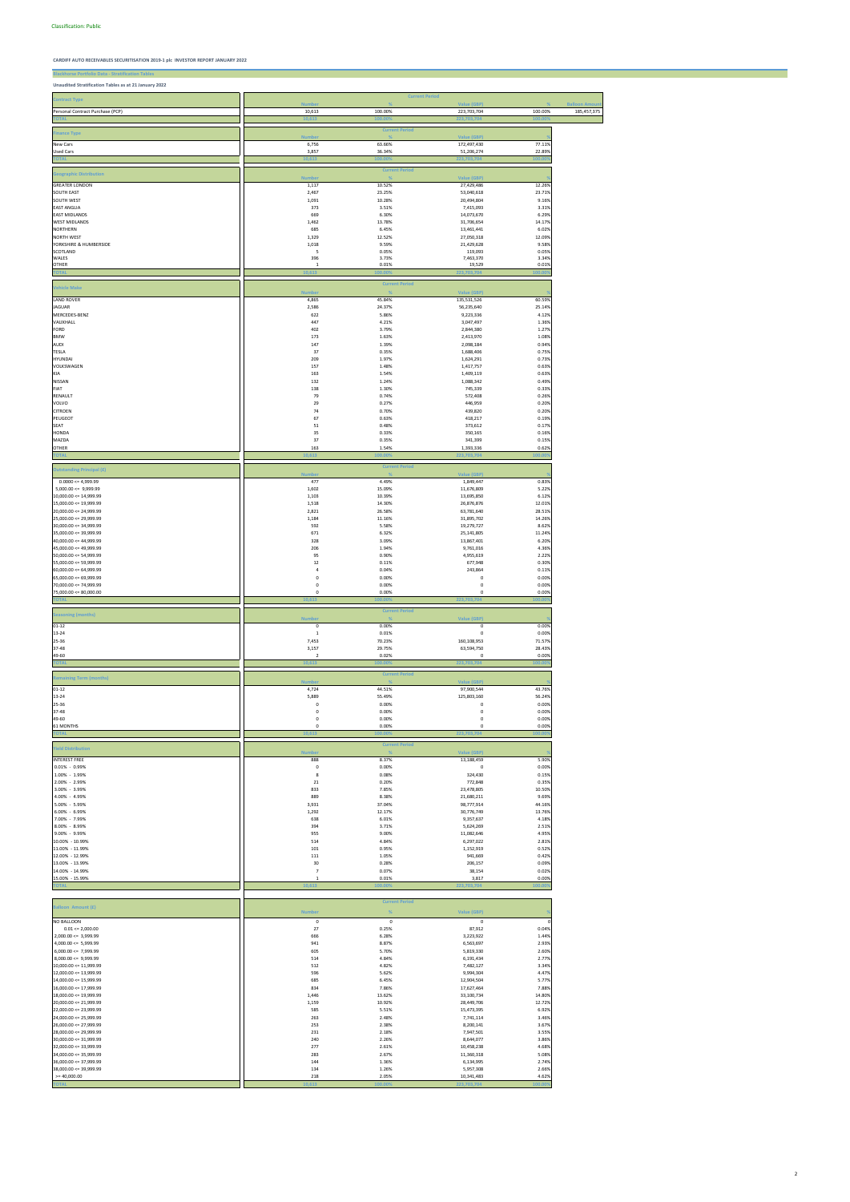**Blackhorse Portfolio Data - Stratification Tables Unaudited Stratification Tables as at 21 January 2022**

|                                                          |                              |                                        | <b>Current Period</b>      |                  |                     |
|----------------------------------------------------------|------------------------------|----------------------------------------|----------------------------|------------------|---------------------|
| <b>Contract Type</b>                                     | <b>Number</b>                | $\frac{Q}{A}$                          | Value (GBP)                | $\frac{9}{6}$    | <b>Balloon Amou</b> |
| Personal Contract Purchase (PCP)                         | 10,613                       | 100.00%                                | 223,703,704                | 100.00%          | 185,457,375         |
|                                                          | 10,61                        | 100.                                   | 223,703,70                 | 100              |                     |
| <b>Finance Type</b>                                      |                              | <b>Current Period</b>                  |                            |                  |                     |
|                                                          | <b>Numbe</b>                 |                                        | <b>Value (GBP)</b>         | 77.11%           |                     |
| New Cars<br><b>Used Cars</b>                             | 6,756<br>3,857               | 63.66%<br>36.34%                       | 172,497,430<br>51,206,274  | 22.89%           |                     |
|                                                          | 10,613                       | 100.009                                | 223,703,704                | 100.00           |                     |
|                                                          |                              | <b>Current Period</b>                  |                            |                  |                     |
| <b>Geographic Distribution</b>                           | <b>Numbe</b>                 |                                        | Value (GBP)                |                  |                     |
| <b>GREATER LONDON</b>                                    | 1,117                        | 10.52%                                 | 27,429,486                 | 12.26%           |                     |
| SOUTH EAST                                               | 2,467                        | 23.25%                                 | 53,040,618                 | 23.71%           |                     |
| SOUTH WEST<br><b>EAST ANGLIA</b>                         | 1,091<br>373                 | 10.28%<br>3.51%                        | 20,494,804<br>7,415,093    | 9.16%<br>3.31%   |                     |
| <b>EAST MIDLANDS</b>                                     | 669                          | 6.30%                                  | 14,073,670                 | 6.29%            |                     |
| <b>WEST MIDLANDS</b>                                     | 1,462                        | 13.78%                                 | 31,706,654                 | 14.17%           |                     |
| <b>NORTHERN</b>                                          | 685                          | 6.45%                                  | 13,461,441                 | 6.02%            |                     |
| <b>NORTH WEST</b><br>YORKSHIRE & HUMBERSIDE              | 1,329<br>1,018               | 12.52%<br>9.59%                        | 27,050,318<br>21,429,628   | 12.09%<br>9.58%  |                     |
| SCOTLAND                                                 | 5                            | 0.05%                                  | 119,093                    | 0.05%            |                     |
| WALES                                                    | 396                          | 3.73%                                  | 7,463,370                  | 3.34%            |                     |
| OTHER<br>ЮT.                                             | $\overline{1}$<br>10,613     | 0.01%                                  | 19,529<br>223,703,7        | 0.01%            |                     |
|                                                          |                              |                                        |                            |                  |                     |
| <b>Vehicle Make</b>                                      |                              | <b>Current Period</b>                  |                            |                  |                     |
|                                                          | <b>Numbe</b>                 |                                        | Value (GBP)                |                  |                     |
| <b>LAND ROVER</b><br><b>JAGUAR</b>                       | 4,865<br>2,586               | 45.84%<br>24.37%                       | 135,531,526<br>56,235,640  | 60.59%<br>25.14% |                     |
| MERCEDES-BENZ                                            | 622                          | 5.86%                                  | 9,223,336                  | 4.12%            |                     |
| VAUXHALL                                                 | 447                          | 4.21%                                  | 3,047,497                  | 1.36%            |                     |
| FORD                                                     | 402                          | 3.79%                                  | 2,844,380                  | 1.27%            |                     |
| <b>BMW</b><br><b>AUDI</b>                                | 173<br>147                   | 1.63%                                  | 2,413,970                  | 1.08%<br>0.94%   |                     |
| <b>TESLA</b>                                             | 37                           | 1.39%<br>0.35%                         | 2,098,184<br>1,688,406     | 0.75%            |                     |
| <b>HYUNDAI</b>                                           | 209                          | 1.97%                                  | 1,624,291                  | 0.73%            |                     |
| VOLKSWAGEN                                               | 157                          | 1.48%                                  | 1,417,757                  | 0.63%            |                     |
| KIA                                                      | 163                          | 1.54%                                  | 1,409,119                  | 0.63%            |                     |
| NISSAN<br>FIAT                                           | 132<br>138                   | 1.24%<br>1.30%                         | 1,088,342<br>745,339       | 0.49%<br>0.33%   |                     |
| RENAULT                                                  | 79                           | 0.74%                                  | 572,408                    | 0.26%            |                     |
| VOLVO                                                    | 29                           | 0.27%                                  | 446,959                    | 0.20%            |                     |
| <b>CITROEN</b>                                           | 74                           | 0.70%                                  | 439,820                    | 0.20%            |                     |
| PEUGEOT                                                  | 67                           | 0.63%                                  | 418,217                    | 0.19%<br>0.17%   |                     |
| SEAT<br><b>HONDA</b>                                     | 51<br>35                     | 0.48%<br>0.33%                         | 373,612<br>350,165         | 0.16%            |                     |
| MAZDA                                                    | 37                           | 0.35%                                  | 341,399                    | 0.15%            |                     |
| <b>OTHER</b>                                             | 163                          | 1.54%                                  | 1,393,336                  | 0.62%            |                     |
| <b>TOTAL</b>                                             | 10,613                       | 100.00%                                | 223,703,704                | 100.009          |                     |
| <b>Outstanding Principal (£)</b>                         |                              | <b>Current Period</b>                  |                            |                  |                     |
|                                                          | <b>Numbe</b>                 |                                        | Value (GBP)                |                  |                     |
| $0.0000 \le 4,999.99$<br>$5,000.00 \leq 9,999.99$        | 477<br>1,602                 | 4.49%<br>15.09%                        | 1,849,447<br>11,676,809    | 0.83%<br>5.22%   |                     |
| $10,000.00 \leq 14,999.99$                               | 1,103                        | 10.39%                                 | 13,695,850                 | 6.12%            |                     |
| $15,000.00 \leq 19,999.99$                               | 1,518                        | 14.30%                                 | 26,876,876                 | 12.01%           |                     |
| $20,000.00 \le 24,999.99$                                | 2,821                        | 26.58%                                 | 63,781,640                 | 28.51%           |                     |
| $25,000.00 \le 29,999.99$<br>$30,000.00 \leq 34,999.99$  | 1,184                        | 11.16%                                 | 31,895,702                 | 14.26%           |                     |
| $35,000.00 \leq 39,999.99$                               | 592<br>671                   | 5.58%<br>6.32%                         | 19,279,727<br>25,141,805   | 8.62%<br>11.24%  |                     |
| 40,000.00 <= 44,999.99                                   | 328                          | 3.09%                                  | 13,867,401                 | 6.209            |                     |
| 45,000.00 <= 49,999.99                                   | 206                          | 1.94%                                  | 9,761,016                  | 4.36%            |                     |
| $50,000.00 \leq 54,999.99$<br>$55,000.00 \leq 59,999.99$ | 95                           | 0.90%                                  | 4,955,619                  | 2.22%            |                     |
| $60,000.00 \leq 64,999.99$                               | 12<br>$\sqrt{4}$             | 0.11%<br>0.04%                         | 677,948<br>243,864         | 0.30%<br>0.11%   |                     |
| $65,000.00 \le 69,999.99$                                | $\mathsf 0$                  | 0.00%                                  | $\mathbf 0$                | 0.00%            |                     |
| 70,000.00 <= 74,999.99                                   | $\mathbf 0$                  | 0.00%                                  | 0                          | 0.00%            |                     |
| 75,000.00 <= 80,000.00                                   | $\mathbf 0$                  | 0.00%                                  | 0                          | 0.00%            |                     |
| 'OTAI                                                    | 10,613                       | 100.009                                | 223,703,704                | 100.00           |                     |
| <b>Seasoning (months)</b>                                |                              | <b>Current Period</b><br>$\frac{9}{6}$ |                            |                  |                     |
| $01 - 12$                                                | <b>Number</b><br>$\mathbf 0$ | 0.00%                                  | Value (GBP)<br>$\mathbf 0$ | 0.00%            |                     |
| 13-24                                                    | $\mathbf 1$                  | 0.01%                                  | 0                          | 0.00%            |                     |
| 25-36                                                    | 7,453                        | 70.23%                                 | 160,108,953                | 71.57%           |                     |
| 37-48                                                    | 3,157                        | 29.75%                                 | 63,594,750                 | 28.43%           |                     |
| 49-60<br><b>TOTA</b>                                     | $\overline{2}$<br>10,613     | 0.02%                                  | $\mathsf 0$<br>223,703,704 | 0.00%<br>00.00   |                     |
|                                                          |                              | <b>Current Period</b>                  |                            |                  |                     |
| <b>Remaining Term (months)</b>                           | <b>Number</b>                | %                                      | Value (GBP)                |                  |                     |
| $01 - 12$                                                | 4,724                        | 44.51%                                 | 97,900,544                 | 43.76%           |                     |
| $13 - 24$                                                | 5,889                        | 55.49%                                 | 125,803,160                | 56.24%           |                     |
| 25-36<br>37-48                                           | $\mathbf 0$<br>$\mathbf 0$   | 0.00%<br>0.00%                         | $\mathbf 0$<br>0           | 0.00%<br>0.00%   |                     |
| 49-60                                                    | $\mathsf 0$                  | 0.00%                                  | 0                          | 0.00%            |                     |
| 61 MONTHS                                                | $\mathsf 0$                  | 0.00%                                  | $\mathbf 0$                | 0.00%            |                     |
| <b>TOTAI</b>                                             | 10,613                       | 100.00%                                | 223,703,704                | 100.00           |                     |
| <b>Yield Distribution</b>                                |                              | <b>Current Period</b>                  |                            |                  |                     |
|                                                          | <b>Number</b>                | $\frac{1}{2}$                          | Value (GBP)                |                  |                     |
| <b>INTEREST FREE</b><br>$0.01\% - 0.99\%$                | 888<br>$\mathbf 0$           | 8.37%<br>0.00%                         | 13,188,459<br>$\mathbf 0$  | 5.90%<br>0.00%   |                     |
| 1.00% - 1.99%                                            | 8                            | 0.08%                                  | 324,430                    | 0.15%            |                     |
| 2.00% - 2.99%                                            | 21                           | 0.20%                                  | 772,848                    | 0.35%            |                     |
| 3.00% - 3.99%                                            | 833                          | 7.85%                                  | 23,478,805                 | 10.50%           |                     |
| 4.00% - 4.99%                                            | 889                          | 8.38%                                  | 21,680,211                 | 9.69%            |                     |
| 5.00% - 5.99%<br>6.00% - 6.99%                           | 3,931<br>1,292               | 37.04%<br>12.17%                       | 98,777,914<br>30,776,749   | 44.16%<br>13.76% |                     |
| 7.00% - 7.99%                                            | 638                          | 6.01%                                  | 9,357,637                  | 4.18%            |                     |
| 8.00% - 8.99%                                            | 394                          | 3.71%                                  | 5,624,269                  | 2.51%            |                     |
| 9.00% - 9.99%                                            | 955                          | 9.00%                                  | 11,082,646                 | 4.95%            |                     |
| 10.00% - 10.99%                                          | 514                          | 4.84%                                  | 6,297,022                  | 2.81%            |                     |
| 11.00% - 11.99%<br>12.00% - 12.99%                       | 101<br>111                   | 0.95%<br>1.05%                         | 1,152,919<br>941,669       | 0.52%<br>0.42%   |                     |
| 13.00% - 13.99%                                          | 30                           | 0.28%                                  | 206,157                    | 0.09%            |                     |
| 14.00% - 14.99%                                          | $\overline{7}$               | 0.07%                                  | 38,154                     | 0.02%            |                     |
| 15.00% - 15.99%                                          | $\mathbf{1}$                 | 0.01%                                  | 3,817                      | 0.00%            |                     |
|                                                          |                              | inn nr                                 |                            |                  |                     |

| <b>Balloon Amount (£)</b>    | <b>Number</b> | %       | Value (GBP) |         |
|------------------------------|---------------|---------|-------------|---------|
| <b>NO BALLOON</b>            | 0             | 0       | $\Omega$    |         |
| $0.01 \le 2,000.00$          | 27            | 0.25%   | 87,912      | 0.04%   |
| $2,000.00 \leq x = 3,999.99$ | 666           | 6.28%   | 3,223,922   | 1.44%   |
| $4,000.00 \leq 5,999.99$     | 941           | 8.87%   | 6,563,697   | 2.93%   |
| $6,000.00 \leq 7,999.99$     | 605           | 5.70%   | 5,819,330   | 2.60%   |
| $8,000.00 \leq 9,999.99$     | 514           | 4.84%   | 6,191,434   | 2.77%   |
| $10,000.00 \leq 11,999.99$   | 512           | 4.82%   | 7,482,127   | 3.34%   |
| $12,000.00 \leq 13,999.99$   | 596           | 5.62%   | 9,994,304   | 4.47%   |
| $14,000.00 \leq 15,999.99$   | 685           | 6.45%   | 12,904,504  | 5.77%   |
| $16,000.00 \leq 17,999.99$   | 834           | 7.86%   | 17,627,464  | 7.88%   |
| $18,000.00 \leq 19,999.99$   | 1,446         | 13.62%  | 33,100,734  | 14.80%  |
| $20,000.00 \le 21,999.99$    | 1,159         | 10.92%  | 28,449,706  | 12.72%  |
| $22,000.00 \le 23,999.99$    | 585           | 5.51%   | 15,473,395  | 6.92%   |
| $24,000.00 \le 25,999.99$    | 263           | 2.48%   | 7,741,114   | 3.46%   |
| $26,000.00 \le 27,999.99$    | 253           | 2.38%   | 8,200,141   | 3.67%   |
| $28,000.00 \le 29,999.99$    | 231           | 2.18%   | 7,947,501   | 3.55%   |
| $30,000.00 \leq 31,999.99$   | 240           | 2.26%   | 8,644,077   | 3.86%   |
| $32,000,00 \leq 33,999,99$   | 277           | 2.61%   | 10,458,238  | 4.68%   |
| $34,000.00 \leq 35,999.99$   | 283           | 2.67%   | 11,360,318  | 5.08%   |
| $36.000.00 \leq 37.999.99$   | 144           | 1.36%   | 6,134,995   | 2.74%   |
| $38,000.00 \leq 39,999.99$   | 134           | 1.26%   | 5,957,308   | 2.66%   |
| $>= 40,000.00$               | 218           | 2.05%   | 10,341,483  | 4.62%   |
| <b>TOTAL</b>                 | 10,613        | 100.00% | 223,703,704 | 100.00% |

٦

ī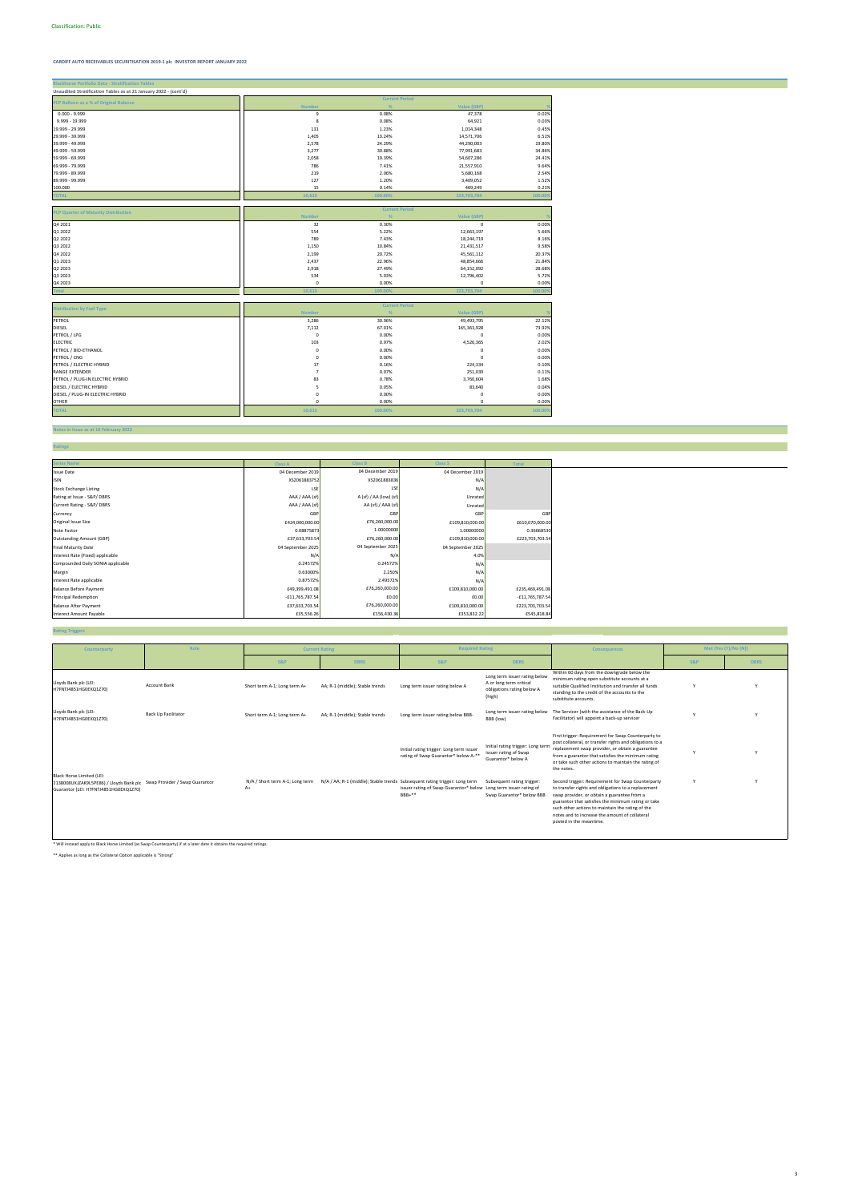| <b>Blackhorse Portfolio Data - Stratification Tables</b>         |                |         |                       |         |
|------------------------------------------------------------------|----------------|---------|-----------------------|---------|
| Unaudited Stratification Tables as at 21 January 2022 - (cont'd) |                |         |                       |         |
| PCP Balloon as a % of Original Balance                           |                |         | <b>Current Period</b> |         |
|                                                                  | <b>Number</b>  | %       | Value (GBP)           |         |
| $0.000 - 9.999$                                                  | 9              | 0.08%   | 47,378                | 0.02%   |
| 9.999 - 19.999                                                   | 8              | 0.08%   | 64,921                | 0.03%   |
| 19.999 - 29.999                                                  | 131            | 1.23%   | 1,014,348             | 0.45%   |
| 29.999 - 39.999                                                  | 1,405          | 13.24%  | 14,571,706            | 6.51%   |
| 39.999 - 49.999                                                  | 2,578          | 24.29%  | 44,290,003            | 19.80%  |
| 49.999 - 59.999                                                  | 3,277          | 30.88%  | 77,991,683            | 34.86%  |
| 59.999 - 69.999                                                  | 2,058          | 19.39%  | 54,607,286            | 24.41%  |
| 69.999 - 79.999                                                  | 786            | 7.41%   | 21,557,910            | 9.64%   |
| 79.999 - 89.999                                                  | 219            | 2.06%   | 5,680,168             | 2.54%   |
| 89.999 - 99.999                                                  | 127            | 1.20%   | 3,409,052             | 1.52%   |
| 100.000                                                          | 15             | 0.14%   | 469,249               | 0.21%   |
| <b>TOTAL</b>                                                     | 10,613         | 100.00% | 223,703,704           | 100.009 |
|                                                                  |                |         |                       |         |
| PCP Quarter of Maturity Distribution                             |                |         | <b>Current Period</b> |         |
|                                                                  | <b>Number</b>  | %       | Value (GBP)           |         |
| Q4 2021                                                          | 32             | 0.30%   | $\mathbf 0$           | 0.00%   |
| Q1 2022                                                          | 554            | 5.22%   | 12,663,197            | 5.66%   |
| Q2 2022                                                          | 789            | 7.43%   | 18,244,719            | 8.16%   |
| Q3 2022                                                          | 1,150          | 10.84%  | 21,431,517            | 9.58%   |
| Q4 2022                                                          | 2,199          | 20.72%  | 45,561,112            | 20.37%  |
| Q1 2023                                                          | 2,437          | 22.96%  | 48,854,666            | 21.84%  |
| Q2 2023                                                          | 2,918          | 27.49%  | 64,152,092            | 28.68%  |
| Q3 2023                                                          | 534            | 5.03%   | 12,796,402            | 5.72%   |
| Q4 2023                                                          | 0              | 0.00%   | 0                     | 0.00%   |
| 'otal                                                            | 10.613         | 100.009 | 223,703,704           | 100.00  |
|                                                                  |                |         |                       |         |
| <b>Distribution by Fuel Type</b>                                 |                |         | <b>Current Period</b> |         |
|                                                                  | <b>Number</b>  | %       | Value (GBP)           |         |
| PETROL                                                           | 3,286          | 30.96%  | 49,493,795            | 22.12%  |
| DIESEL                                                           | 7,112          | 67.01%  | 165,363,928           | 73.92%  |
| PETROL / LPG                                                     | $\mathsf 0$    | 0.00%   | $\mathbf 0$           | 0.00%   |
| <b>ELECTRIC</b>                                                  | 103            | 0.97%   | 4,526,365             | 2.02%   |
| PETROL / BIO-ETHANOL                                             | 0              | 0.00%   | $\mathbf 0$           | 0.00%   |
| PETROL / CNG                                                     | 0              | 0.00%   | $\Omega$              | 0.00%   |
| PETROL / ELECTRIC HYBRID                                         | 17             | 0.16%   | 224,334               | 0.10%   |
| <b>RANGE EXTENDER</b>                                            | $\overline{7}$ | 0.07%   | 251,039               | 0.11%   |
| PETROL / PLUG-IN ELECTRIC HYBRID                                 | 83             | 0.78%   | 3,760,604             | 1.68%   |
| DIESEL / ELECTRIC HYBRID                                         | 5              | 0.05%   | 83,640                | 0.04%   |
| DIESEL / PLUG-IN ELECTRIC HYBRID                                 | 0              | 0.00%   | $\mathbf 0$           | 0.00%   |
| <b>OTHER</b>                                                     | $\mathbf 0$    | 0.00%   | $\Omega$              | 0.00%   |
| <b>TOTAL</b>                                                     | 10,613         | 100.00% | 223,703,704           | 100.00% |
|                                                                  |                |         |                       |         |

**Ratings**

**Notes in Issue as at 16 February 2022**

**Rating Triggers**

| <b>Series Name</b>                | <b>Class A</b>    | <b>Class B</b>         | <b>Class S</b>    | <b>Total</b>      |
|-----------------------------------|-------------------|------------------------|-------------------|-------------------|
| <b>Issue Date</b>                 | 04 December 2019  | 04 December 2019       | 04 December 2019  |                   |
| <b>ISIN</b>                       | XS2061883752      | XS2061883836           | N/A               |                   |
| <b>Stock Exchange Listing</b>     | LSE               | LSE                    | N/A               |                   |
| Rating at Issue - S&P/DBRS        | AAA / AAA (sf)    | A (sf) / AA (low) (sf) | Unrated           |                   |
| Current Rating - S&P/DBRS         | AAA / AAA (sf)    | AA (sf) / AAA (sf)     | Unrated           |                   |
| Currency                          | GBP               | GBP                    | GBP               | GBP               |
| Original Issue Size               | £424,000,000.00   | £76,260,000.00         | £109,810,000.00   | £610,070,000.00   |
| Note Factor                       | 0.08875873        | 1.00000000             | 1.00000000        | 0.36668530        |
| <b>Outstanding Amount (GBP)</b>   | £37,633,703.54    | £76,260,000.00         | £109,810,000.00   | £223,703,703.54   |
| <b>Final Maturity Date</b>        | 04 September 2025 | 04 September 2025      | 04 September 2025 |                   |
| Interest Rate (Fixed) applicable  | N/A               | N/A                    | 4.0%              |                   |
| Compounded Daily SONIA applicable | 0.24572%          | 0.24572%               | N/A               |                   |
| Margin                            | 0.63000%          | 2.250%                 | N/A               |                   |
| Interest Rate applicable          | 0.87572%          | 2.49572%               | N/A               |                   |
| <b>Balance Before Payment</b>     | £49,399,491.08    | £76,260,000.00         | £109,810,000.00   | £235,469,491.08   |
| Principal Redemption              | $-£11,765,787.54$ | £0.00                  | £0.00             | $-£11,765,787.54$ |
| <b>Balance After Payment</b>      | £37,633,703.54    | £76,260,000.00         | £109,810,000.00   | £223,703,703.54   |
| <b>Interest Amount Payable</b>    | £35,556.26        | £156,430.36            | £353,832.22       | £545,818.84       |

\* Will instead apply to Black Horse Limited (as Swap Counterparty) if at a later date it obtains the required ratings.

\*\* Applies as long as the Collateral Option applicable is "Strong"

| Counterparty                                                                                                                                 | Role                       |                                         | <b>Current Rating</b>                                                      | <b>Required Rating</b>                                                           |                                                                                                  | <b>Consequences</b>                                                                                                                                                                                                                                                                                                                             |                | Met (Yes (Y)/No (N)) |
|----------------------------------------------------------------------------------------------------------------------------------------------|----------------------------|-----------------------------------------|----------------------------------------------------------------------------|----------------------------------------------------------------------------------|--------------------------------------------------------------------------------------------------|-------------------------------------------------------------------------------------------------------------------------------------------------------------------------------------------------------------------------------------------------------------------------------------------------------------------------------------------------|----------------|----------------------|
|                                                                                                                                              |                            |                                         |                                                                            |                                                                                  |                                                                                                  |                                                                                                                                                                                                                                                                                                                                                 |                |                      |
|                                                                                                                                              |                            | <b>S&amp;P</b>                          | <b>DBRS</b>                                                                | <b>S&amp;P</b>                                                                   | <b>DBRS</b>                                                                                      |                                                                                                                                                                                                                                                                                                                                                 | <b>S&amp;P</b> | <b>DBRS</b>          |
| Lloyds Bank plc (LEI:<br>H7FNTJ4851HG0EXQ1Z70)                                                                                               | <b>Account Bank</b>        | Short term A-1; Long term A+            | AA; R-1 (middle); Stable trends                                            | Long term issuer rating below A                                                  | Long term issuer rating below<br>A or long term critical<br>obligations rating below A<br>(high) | Within 60 days from the downgrade below the<br>minimum rating open substitute accounts at a<br>suitable Qualified Institution and transfer all funds<br>standing to the credit of the accounts to the<br>substitute accounts.                                                                                                                   |                |                      |
| Lloyds Bank plc (LEI:<br>H7FNTJ4851HG0EXQ1Z70)                                                                                               | <b>Back Up Facilitator</b> | Short term A-1; Long term A+            | AA; R-1 (middle); Stable trends                                            | Long term issuer rating below BBB-                                               | Long term issuer rating below<br>BBB (low)                                                       | The Servicer (with the assistance of the Back-Up<br>Facilitator) will appoint a back-up servicer                                                                                                                                                                                                                                                |                |                      |
|                                                                                                                                              |                            |                                         |                                                                            | Initial rating trigger: Long term issuer<br>rating of Swap Guarantor* below A-** | Initial rating trigger: Long term<br>issuer rating of Swap<br>Guarantor* below A                 | First trigger: Requirement for Swap Counterparty to<br>post collateral, or transfer rights and obligations to a<br>replacement swap provider, or obtain a guarantee<br>from a guarantor that satisfies the minimum rating<br>or take such other actions to maintain the rating of<br>the notes.                                                 |                |                      |
| Black Horse Limited (LEI:<br>2138008UXJZAK9L5PE86) / Lloyds Bank plc Swap Provider / Swap Guarantor<br>Guarantor (LEI: H7FNTJ4851HG0EXQ1Z70) |                            | N/A / Short term A-1; Long term<br>$A+$ | N/A / AA; R-1 (middle); Stable trends Subsequent rating trigger: Long term | issuer rating of Swap Guarantor* below Long term issuer rating of<br>$BBB+***$   | Subsequent rating trigger:<br>Swap Guarantor* below BBB                                          | Second trigger: Requirement for Swap Counterparty<br>to transfer rights and obligations to a replacement<br>swap provider, or obtain a guarantee from a<br>guarantor that satisfies the minimum rating or take<br>such other actions to maintain the rating of the<br>notes and to increase the amount of collateral<br>posted in the meantime. |                |                      |

3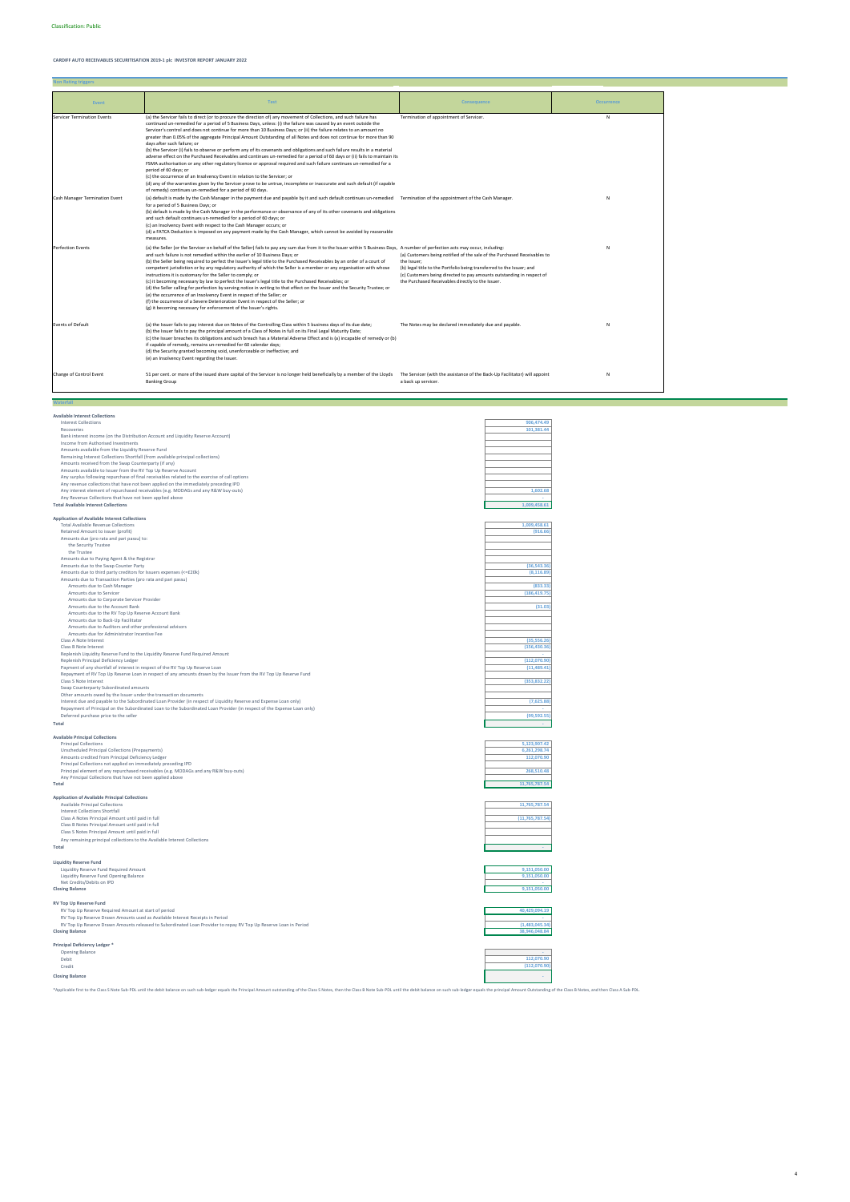**Non Rating triggers**

**Waterfall Available Interest Collections**

| Interest Collections                                                                                                                                                                 | 906,474.49        |
|--------------------------------------------------------------------------------------------------------------------------------------------------------------------------------------|-------------------|
| Recoveries                                                                                                                                                                           | 101,381.44        |
| Bank interest income (on the Distribution Account and Liquidity Reserve Account)                                                                                                     |                   |
| Income from Authorised Investments                                                                                                                                                   |                   |
| Amounts available from the Liquidity Reserve Fund                                                                                                                                    |                   |
| Remaining Interest Collections Shortfall (from available principal collections)<br>Amounts received from the Swap Counterparty (if any)                                              |                   |
| Amounts available to Issuer from the RV Top Up Reserve Account                                                                                                                       |                   |
|                                                                                                                                                                                      |                   |
| Any surplus following repurchase of final receivables related to the exercise of call options<br>Any revenue collections that have not been applied on the immediately preceding IPD |                   |
| Any interest element of repurchased receivables (e.g. MODAGs and any R&W buy-outs)                                                                                                   | 1,602.68          |
| Any Revenue Collections that have not been applied above                                                                                                                             |                   |
| <b>Total Available Interest Collections</b>                                                                                                                                          | 1.009.458.61      |
| <b>Application of Available Interest Collections</b>                                                                                                                                 |                   |
| <b>Total Available Revenue Collections</b>                                                                                                                                           | 1.009.458.61      |
| Retained Amount to issuer (profit)                                                                                                                                                   | (916.66)          |
| Amounts due (pro rata and pari passu) to:                                                                                                                                            |                   |
| the Security Trustee                                                                                                                                                                 |                   |
| the Trustee                                                                                                                                                                          |                   |
| Amounts due to Paying Agent & the Registrar                                                                                                                                          |                   |
| Amounts due to the Swap Counter Party                                                                                                                                                | (36, 543.36)      |
| Amounts due to third party creditors for Issuers expenses (<=£20k)                                                                                                                   | (8, 116.89)       |
| Amounts due to Transaction Parties (pro rata and pari passu)                                                                                                                         |                   |
| Amounts due to Cash Manager                                                                                                                                                          | (833.33)          |
| Amounts due to Servicer                                                                                                                                                              | (186, 419.75)     |
| Amounts due to Corporate Servicer Provider                                                                                                                                           |                   |
| Amounts due to the Account Bank                                                                                                                                                      | (31.03)           |
| Amounts due to the RV Top Up Reserve Account Bank                                                                                                                                    |                   |
| Amounts due to Back-Up Facilitator                                                                                                                                                   |                   |
| Amounts due to Auditors and other professional advisors                                                                                                                              |                   |
| Amounts due for Administrator Incentive Fee                                                                                                                                          |                   |
| Class A Note Interest                                                                                                                                                                | (35, 556.26)      |
| Class B Note Interest                                                                                                                                                                | (156, 430.36)     |
| Replenish Liquidity Reserve Fund to the Liquidity Reserve Fund Required Amount                                                                                                       |                   |
| Replenish Principal Deficiency Ledger                                                                                                                                                | (112,070.90)      |
| Payment of any shortfall of interest in respect of the RV Top Up Reserve Loan                                                                                                        | (11, 489.41)      |
| Repayment of RV Top Up Reserve Loan in respect of any amounts drawn by the Issuer from the RV Top Up Reserve Fund                                                                    |                   |
| Class S Note Interest                                                                                                                                                                | (353, 832.22)     |
| Swap Counterparty Subordinated amounts                                                                                                                                               |                   |
| Other amounts owed by the Issuer under the transaction documents                                                                                                                     |                   |
| Interest due and payable to the Subordinated Loan Provider (in respect of Liquidity Reserve and Expense Loan only)                                                                   | (7,625.88)        |
| Repayment of Principal on the Subordinated Loan to the Subordinated Loan Provider (in respect of the Expense Loan only)                                                              |                   |
| Deferred purchase price to the seller                                                                                                                                                | (99, 592.55)      |
| Total                                                                                                                                                                                |                   |
| <b>Available Principal Collections</b>                                                                                                                                               |                   |
| <b>Principal Collections</b>                                                                                                                                                         | 5,123,907.42      |
| Unscheduled Principal Collections (Prepayments)                                                                                                                                      | 6,261,298.74      |
| Amounts credited from Principal Deficiency Ledger                                                                                                                                    | 112,070.90        |
| Principal Collections not applied on immediately preceding IPD                                                                                                                       |                   |
| Principal element of any repurchased receivables (e.g. MODAGs and any R&W buy-outs)                                                                                                  | 268,510.48        |
| Any Principal Collections that have not been applied above                                                                                                                           |                   |
| Total                                                                                                                                                                                | 11,765,787.54     |
| <b>Application of Available Principal Collections</b>                                                                                                                                |                   |
| Available Principal Collections                                                                                                                                                      | 11,765,787.54     |
| <b>Interest Collections Shortfall</b>                                                                                                                                                |                   |
| Class A Notes Principal Amount until paid in full                                                                                                                                    | (11, 765, 787.54) |
| Class B Notes Principal Amount until paid in full                                                                                                                                    |                   |
| Class S Notes Principal Amount until paid in full                                                                                                                                    |                   |
| Any remaining principal collections to the Available Interest Collections                                                                                                            |                   |
| Total                                                                                                                                                                                |                   |
|                                                                                                                                                                                      |                   |
| <b>Liquidity Reserve Fund</b>                                                                                                                                                        |                   |
| Liquidity Reserve Fund Required Amount                                                                                                                                               | 9 151 050 00      |
| Liquidity Reserve Fund Opening Balance                                                                                                                                               | 9,151,050.00      |
| Net Credits/Debits on IPD                                                                                                                                                            |                   |
| <b>Closing Balance</b>                                                                                                                                                               | 9,151,050.00      |

| <b>RV Top Up Reserve Fund</b>                                                                                    |                |
|------------------------------------------------------------------------------------------------------------------|----------------|
| RV Top Up Reserve Required Amount at start of period                                                             | 40.429.094.19  |
| RV Top Up Reserve Drawn Amounts used as Available Interest Receipts in Period                                    |                |
| RV Top Up Reserve Drawn Amounts released to Subordinated Loan Provider to repay RV Top Up Reserve Loan in Period | (1,483,045.34) |
| <b>Closing Balance</b>                                                                                           | 38,946,048.84  |
|                                                                                                                  |                |
| Principal Deficiency Ledger *                                                                                    |                |
| <b>Opening Balance</b>                                                                                           |                |

| ______<br>Opening Balance |              |
|---------------------------|--------------|
| Debit                     | 112,070.90   |
| Credit                    | (112,070.90) |
| <b>Closing Balance</b>    |              |

\*Applicable first to the Class S Note Sub-PDL until the debit balance on such sub-ledger equals the Principal Amount outstanding of the Class S Notes, then the Class B Note Sub-PDL until the debit balance on such sub-ledge

| Event                          | <b>Test</b>                                                                                                                                                                                                                                                                                                                                                                                                                                                                                                                                                                                                                                                                                                                                                                                                                                                                                                                                                                                                                                                                                                                                                                                                    | <b>Consequence</b>                                                                                                                                                                                                                                                                             | <b>Occurrence</b> |  |  |
|--------------------------------|----------------------------------------------------------------------------------------------------------------------------------------------------------------------------------------------------------------------------------------------------------------------------------------------------------------------------------------------------------------------------------------------------------------------------------------------------------------------------------------------------------------------------------------------------------------------------------------------------------------------------------------------------------------------------------------------------------------------------------------------------------------------------------------------------------------------------------------------------------------------------------------------------------------------------------------------------------------------------------------------------------------------------------------------------------------------------------------------------------------------------------------------------------------------------------------------------------------|------------------------------------------------------------------------------------------------------------------------------------------------------------------------------------------------------------------------------------------------------------------------------------------------|-------------------|--|--|
| Servicer Termination Events    | (a) the Servicer fails to direct (or to procure the direction of) any movement of Collections, and such failure has<br>continued un-remedied for a period of 5 Business Days, unless: (i) the failure was caused by an event outside the<br>Servicer's control and does not continue for more than 10 Business Days; or (ii) the failure relates to an amount no<br>greater than 0.05% of the aggregate Principal Amount Outstanding of all Notes and does not continue for more than 90<br>days after such failure; or<br>(b) the Servicer (i) fails to observe or perform any of its covenants and obligations and such failure results in a material<br>adverse effect on the Purchased Receivables and continues un-remedied for a period of 60 days or (ii) fails to maintain its<br>FSMA authorisation or any other regulatory licence or approval required and such failure continues un-remedied for a<br>period of 60 days; or<br>(c) the occurrence of an Insolvency Event in relation to the Servicer; or<br>(d) any of the warranties given by the Servicer prove to be untrue, incomplete or inaccurate and such default (if capable<br>of remedy) continues un-remedied for a period of 60 days. | Termination of appointment of Servicer.                                                                                                                                                                                                                                                        | N                 |  |  |
| Cash Manager Termination Event | (a) default is made by the Cash Manager in the payment due and payable by it and such default continues un-remedied Termination of the appointment of the Cash Manager.<br>for a period of 5 Business Days; or<br>(b) default is made by the Cash Manager in the performance or observance of any of its other covenants and obligations<br>and such default continues un-remedied for a period of 60 days; or<br>(c) an Insolvency Event with respect to the Cash Manager occurs; or<br>(d) a FATCA Deduction is imposed on any payment made by the Cash Manager, which cannot be avoided by reasonable<br>measures.                                                                                                                                                                                                                                                                                                                                                                                                                                                                                                                                                                                          |                                                                                                                                                                                                                                                                                                | N                 |  |  |
| <b>Perfection Events</b>       | (a) the Seller (or the Servicer on behalf of the Seller) fails to pay any sum due from it to the Issuer within 5 Business Days, A number of perfection acts may occur, including:<br>and such failure is not remedied within the earlier of 10 Business Days; or<br>(b) the Seller being required to perfect the Issuer's legal title to the Purchased Receivables by an order of a court of<br>competent jurisdiction or by any regulatory authority of which the Seller is a member or any organisation with whose<br>instructions it is customary for the Seller to comply; or<br>(c) it becoming necessary by law to perfect the Issuer's legal title to the Purchased Receivables; or<br>(d) the Seller calling for perfection by serving notice in writing to that effect on the Issuer and the Security Trustee; or<br>(e) the occurrence of an Insolvency Event in respect of the Seller; or<br>(f) the occurrence of a Severe Deterioration Event in respect of the Seller; or<br>(g) it becoming necessary for enforcement of the Issuer's rights.                                                                                                                                                   | (a) Customers being notified of the sale of the Purchased Receivables to<br>the Issuer:<br>(b) legal title to the Portfolio being transferred to the Issuer; and<br>(c) Customers being directed to pay amounts outstanding in respect of<br>the Purchased Receivables directly to the Issuer. | N                 |  |  |
| <b>Events of Default</b>       | (a) the Issuer fails to pay interest due on Notes of the Controlling Class within 5 business days of its due date;<br>(b) the Issuer fails to pay the principal amount of a Class of Notes in full on its Final Legal Maturity Date;<br>(c) the Issuer breaches its obligations and such breach has a Material Adverse Effect and is (a) incapable of remedy or (b)<br>if capable of remedy, remains un-remedied for 60 calendar days;<br>(d) the Security granted becoming void, unenforceable or ineffective; and<br>(e) an Insolvency Event regarding the Issuer.                                                                                                                                                                                                                                                                                                                                                                                                                                                                                                                                                                                                                                           | The Notes may be declared immediately due and payable.                                                                                                                                                                                                                                         | N                 |  |  |
| Change of Control Event        | 51 per cent. or more of the issued share capital of the Servicer is no longer held beneficially by a member of the Lloyds<br><b>Banking Group</b>                                                                                                                                                                                                                                                                                                                                                                                                                                                                                                                                                                                                                                                                                                                                                                                                                                                                                                                                                                                                                                                              | The Servicer (with the assistance of the Back-Up Facilitator) will appoint<br>a back up servicer.                                                                                                                                                                                              | N                 |  |  |

ī